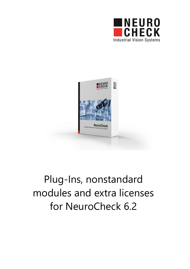



# Plug-Ins, nonstandard modules and extra licenses for NeuroCheck 6.2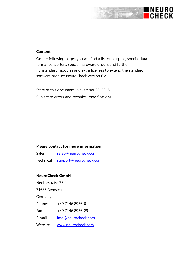## INEURO<br>ICHECK

#### **Content**

On the following pages you will find a list of plug-ins, special data format converters, special hardware drivers and further nonstandard modules and extra licenses to extend the standard software product NeuroCheck version 6.2.

State of this document: November 28, 2018 Subject to errors and technical modifications.

#### **Please contact for more information:**

| Sales: | sales@neurocheck.com              |
|--------|-----------------------------------|
|        | Technical: support@neurocheck.com |

#### **NeuroCheck GmbH**

Neckarstraße 76-1 71686 Remseck Germany Phone: +49 7146 8956-0 Fax: +49 7146 8956-29 E-mail: [info@neurocheck.com](mailto:info@neurocheck.com) Website: [www.neurocheck.com](http://www.neurocheck.com/)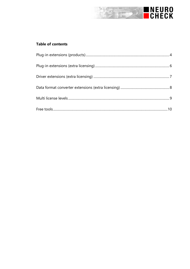

#### **Table of contents**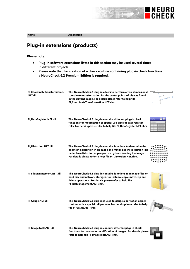

**Name Description Plug-in extensions (products)**

- **Plug-in software extensions listed in this section may be used several times in different projects.**
- **Please note that for creation of a check routine containing plug-in check functions a NeuroCheck 6.2 Premium Edition is required.**

| PI CoordinateTransformation.<br><b>NET.dll</b> | This NeuroCheck 6.2 plug-in allows to perform a two-dimensional<br>coordinate transformation for the center points of objects found<br>in the current image. For details please refer to help file<br>PI CoordinateTransformation.NET.chm.                                |  |
|------------------------------------------------|---------------------------------------------------------------------------------------------------------------------------------------------------------------------------------------------------------------------------------------------------------------------------|--|
| PI_DataRegister.NET.dll                        | This NeuroCheck 6.2 plug-in contains different plug-in check<br>functions for modification or special use cases of data register<br>cells. For details please refer to help file PI_DataRegister.NET.chm.                                                                 |  |
| <b>PI Distortion.NET.dll</b>                   | This NeuroCheck 6.2 plug-in contains functions to determine the<br>geometric distortion in an image and minimizes the distortion like<br>radial lens distortion or perspective by transforming the image.<br>For details please refer to help file PI Distortion.NET.chm. |  |
| PI_FileManagement.NET.dll                      | This NeuroCheck 6.2 plug-in contains functions to manage files on<br>hard disc and network storages, for instance copy, move, zip and<br>delete operations. For details please refer to help file<br>PI FileManagement.NET.chm.                                           |  |
| PI Gauge.NET.dll                               | This NeuroCheck 6.2 plug-in is used to gauge a part of an object<br>contour with a special calliper rule. For details please refer to help<br>file PI_Gauge.NET.chm.                                                                                                      |  |
| PI_ImageTools.NET.dll                          | This NeuroCheck 6.2 plug-in contains different plug-in check<br>functions for creation or modification of images. For details please<br>refer to help file PI ImageTools.NET.chm.                                                                                         |  |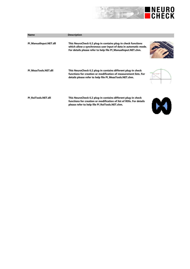

E

| <b>Name</b>            | <b>Description</b>                                                                                                                                                                               |                         |
|------------------------|--------------------------------------------------------------------------------------------------------------------------------------------------------------------------------------------------|-------------------------|
| PI ManualInput.NET.dll | This NeuroCheck 6.2 plug-in contains plug-in check functions<br>which allow a synchronous user input of data in automatic mode.<br>For details please refer to help file PI ManualInput.NET.chm. |                         |
| PI MeasTools.NET.dll   | This NeuroCheck 6.2 plug-in contains different plug-in check<br>functions for creation or modification of measurement lists. For<br>details please refer to help file PI MeasTools.NET.chm.      | $X = -200$<br>$Y = 135$ |
| PI RoiTools.NET.dll    | This NeuroCheck 6.2 plug-in contains different plug-in check<br>functions for creation or modification of list of ROIs. For details<br>please refer to help file PI RoiTools.NET.chm.            |                         |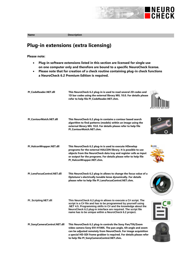

en an Brita

**Name Description** 

## **Plug-in extensions (extra licensing)**

- **Plug-in software extensions listed in this section are licensed for single use on one computer only and therefore are bound to a specific NeuroCheck license.**
- **Please note that for creation of a check routine containing plug-in check functions a NeuroCheck 6.2 Premium Edition is required.**

| PI_CodeReader.NET.dll        | This NeuroCheck 6.2 plug-in is used to read several 2D codes and<br>1D bar codes using the external library MIL 10.0. For details please<br>refer to help file PI CodeReader.NET.chm.                                                                                                                                          |               |
|------------------------------|--------------------------------------------------------------------------------------------------------------------------------------------------------------------------------------------------------------------------------------------------------------------------------------------------------------------------------|---------------|
| PI_ContourMatch.NET.dll      | This NeuroCheck 6.2 plug-in contains a contour based search<br>algorithm to find patterns (models) within an image using the<br>external library MIL 10.0. For details please refer to help file<br>PI ContourMatch.NET.chm.                                                                                                   |               |
| PI_HalconWrapper.NET.dll     | This NeuroCheck 6.2 plug-in is used to execute HDevelop<br>programs for the external HALCON library. It is possible to use<br>objects from the NeuroCheck data tray and register cells as input<br>or output for the programs. For details please refer to help file<br>PI HalconWrapper.NET.chm.                              | <b>HALCON</b> |
| PI LensFocusControl.NET.dll  | This NeuroCheck 6.2 plug-in allows to change the focus value of a<br>Optotune's electrically tunable lense dynamically. For details<br>please refer to help file PI LensFocusControl.NET.chm.                                                                                                                                  |               |
| PI_Scripting.NET.dll         | This NeuroCheck 6.2 plug-in allows to execute a C# script. The<br>script is a C# file and has to be programmed by yourself using<br>.NET 4.5. Programming skills in C# and the knowledge about the<br>NeuroCheck 6.2 plug-in interface are required. The script file<br>name has to be unique within a NeuroCheck 6.2 project. |               |
| PI_SonyCameraControl.NET.dll | This NeuroCheck 6.2 plug-in controls the Sony Pan/Tilt/Zoom<br>video camera Sony EVI-H100S. The pan angle, tilt angle and zoom<br>can be adjusted remotely from NeuroCheck. For image acquisition<br>a special HD-SDI frame grabber is required. For details please refer<br>to help file PI SonyCameraControl.NET.chm.        |               |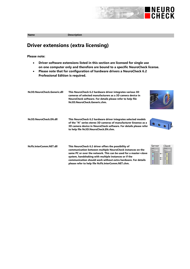

## **Driver extensions (extra licensing)**

- **Driver software extensions listed in this section are licensed for single use on one computer only and therefore are bound to a specific NeuroCheck license.**
- **Please note that for configuration of hardware drivers a NeuroCheck 6.2 Professional Edition is required.**

| Nc3D.NeuroCheck.Generic.dll | This NeuroCheck 6.2 hardware driver integrates various 3D<br>cameras of selected manufacturers as a 3D camera device in<br>NeuroCheck software. For details please refer to help file<br>Nc3D.NeuroCheck.Generic.chm.                                                                                                                                                 |                                                                                                                                                                |
|-----------------------------|-----------------------------------------------------------------------------------------------------------------------------------------------------------------------------------------------------------------------------------------------------------------------------------------------------------------------------------------------------------------------|----------------------------------------------------------------------------------------------------------------------------------------------------------------|
| Nc3D.NeuroCheck.EN.dll      | This NeuroCheck 6.2 hardware driver integrates selected models<br>of the "N" series stereo 3D cameras of manufacturer Ensenso as a<br>3D camera device in NeuroCheck software. For details please refer<br>to help file Nc3D.NeuroCheck.EN.chm.                                                                                                                       |                                                                                                                                                                |
| NcFb.InterComm.NET.dll      | This NeuroCheck 6.2 driver offers the possibility of<br>communication between multiple NeuroCheck instances on the<br>same PC or over the network. This can be used for a master+slave<br>system, handshaking with multiple instances or if the<br>communication should work without extra hardware. For details<br>please refer to help file NcFb.InterComm.NET.chm. | Server<br>Client<br>Acouts<br>$B$ de $0 - 1$<br>$B$ Me $0 - 1$<br>Exte 0<br>$\overline{0}$ <sub>1</sub><br>0 <sub>2</sub><br>$\frac{1}{2}$<br>$\overline{O}$ 7 |

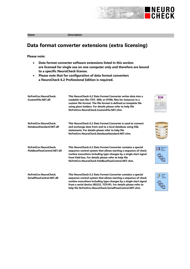

## **Data format converter extensions (extra licensing)**

- **Data format converter software extensions listed in this section are licensed for single use on one computer only and therefore are bound to a specific NeuroCheck license.**
- **Please note that for configuration of data format converters a NeuroCheck 6.2 Professional Edition is required.**

| NcFmtCnv.NeuroCheck.<br>CustomFile.NET.dll          | This NeuroCheck 6.2 Data Format Converter writes data into a<br>readable text file (TXT, XML or HTML files for instance) in a<br>custom file format. The file format is defined as template file<br>using place holders. For details please refer to help file<br>NcFmtCnv.NeuroCheck.CustomFile.NET.chm.                               |   |
|-----------------------------------------------------|-----------------------------------------------------------------------------------------------------------------------------------------------------------------------------------------------------------------------------------------------------------------------------------------------------------------------------------------|---|
| NcFmtCnv.NeuroCheck.<br>DatabaseStandard.NET.dll    | This NeuroCheck 6.2 Data Format Converter is used to connect<br>and exchange data from and to a local database using SQL<br>statements. For details please refer to help file<br>NcFmtCnv.NeuroCheck.DatabaseStandard.NET.chm.                                                                                                          |   |
| NcFmtCnv.NeuroCheck.<br>FieldbusFlowControl.NET.dll | This NeuroCheck 6.2 Data Format Converter contains a special<br>sequence control system that allows starting a sequence of check<br>routine executions including type changes by a single start signal<br>from field bus. For details please refer to help file<br>NcFmtCnv.NeuroCheck.FieldbusFlowControl.NET.chm.                     | H |
| NcFmtCnv.NeuroCheck.<br>SerialFlowControl.NET.dll   | This NeuroCheck 6.2 Data Format Converter contains a special<br>sequence control system that allows starting a sequence of check<br>routine executions including type changes by a single start signal<br>from a serial device (RS232, TCP/IP). For details please refer to<br>help file NcFmtCnv.NeuroCheck.SerialFlowControl.NET.chm. |   |



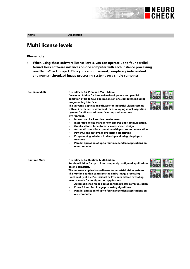## **Multi license levels**

**Please note:**

 **When using these software license levels, you can operate up to four parallel NeuroCheck software instances on one computer with each instance processing one NeuroCheck project. Thus you can run several, completely independent and non-synchronized image processing systems on a single computer.**

| <b>Premium Multi</b> | <b>NeuroCheck 6.2 Premium Multi Edition.</b><br>Developer Edition for interactive development and parallel<br>operation of up to four applications on one computer, including<br>programming interface.<br>The universal application software for industrial vision systems<br>with an interactive environment for developing visual inspection<br>systems for all areas of manufacturing and a runtime<br>environment.<br>Interactive check routine development.<br>Integrated device manager for cameras and communication.<br>٠<br>Graphical tools for automatic mode screen design.<br>٠<br>Automatic shop-floor operation with process communication.<br>Powerful and fast image processing algorithms.<br>$\bullet$<br>Programming interface to develop and integrate plug-in<br>٠<br>functions.<br>Parallel operation of up to four independent applications on<br>$\bullet$<br>one computer. | INEURO<br>CHECK<br><b>IEURO<br/>HECK</b><br>$\bigcap$ | <b>ENEURO</b><br>$-0.0000$<br>NEURO<br>CHECK<br>7.111 |
|----------------------|------------------------------------------------------------------------------------------------------------------------------------------------------------------------------------------------------------------------------------------------------------------------------------------------------------------------------------------------------------------------------------------------------------------------------------------------------------------------------------------------------------------------------------------------------------------------------------------------------------------------------------------------------------------------------------------------------------------------------------------------------------------------------------------------------------------------------------------------------------------------------------------------------|-------------------------------------------------------|-------------------------------------------------------|
| <b>Runtime Multi</b> | NeuroCheck 6.2 Runtime Multi Edition.<br>Runtime Edition for up to four completely configured applications<br>on one computer.<br>The universal application software for industrial vision systems.<br>The Runtime Edition comprises the entire image processing<br>functionality of the Professional or Premium Edition excluding<br>manual mode for configuration applications.<br>Automatic shop-floor operation with process communication.<br>Powerful and fast image processing algorithms.<br>$\bullet$                                                                                                                                                                                                                                                                                                                                                                                       | CHECK<br><b>INEURO</b><br>CHECK                       |                                                       |

 **Parallel operation of up to four independent applications on one computer.**